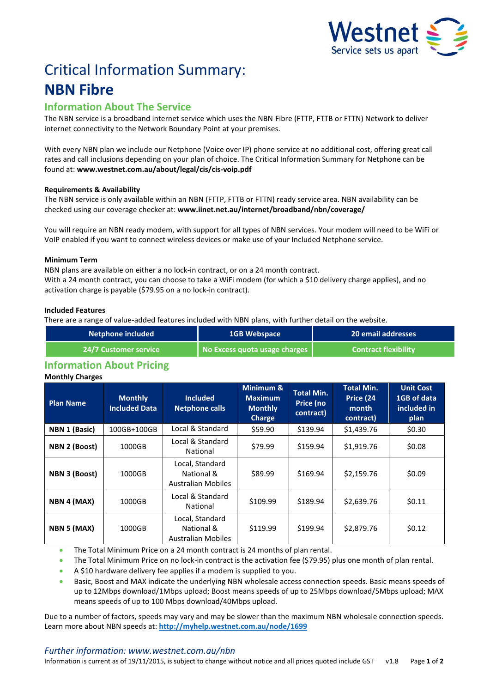

# Critical Information Summary: **NBN Fibre**

# **Information About The Service**

The NBN service is a broadband internet service which uses the NBN Fibre (FTTP, FTTB or FTTN) Network to deliver internet connectivity to the Network Boundary Point at your premises.

With every NBN plan we include our Netphone (Voice over IP) phone service at no additional cost, offering great call rates and call inclusions depending on your plan of choice. The Critical Information Summary for Netphone can be found at: **www.westnet.com.au/about/legal/cis/cis-voip.pdf**

# **Requirements & Availability**

The NBN service is only available within an NBN (FTTP, FTTB or FTTN) ready service area. NBN availability can be checked using our coverage checker at: **www.iinet.net.au/internet/broadband/nbn/coverage/**

You will require an NBN ready modem, with support for all types of NBN services. Your modem will need to be WiFi or VoIP enabled if you want to connect wireless devices or make use of your Included Netphone service.

# **Minimum Term**

NBN plans are available on either a no lock-in contract, or on a 24 month contract. With a 24 month contract, you can choose to take a WiFi modem (for which a \$10 delivery charge applies), and no activation charge is payable (\$79.95 on a no lock-in contract).

# **Included Features**

There are a range of value-added features included with NBN plans, with further detail on the website.

| Netphone included            | <b>1GB Webspace</b>           | 20 email addresses          |  |
|------------------------------|-------------------------------|-----------------------------|--|
| <b>24/7 Customer service</b> | No Excess quota usage charges | <b>Contract flexibility</b> |  |

# **Information About Pricing**

# **Monthly Charges**

| <b>Plan Name</b>     | <b>Monthly</b><br><b>Included Data</b> | <b>Included</b><br><b>Netphone calls</b>                   | Minimum &<br><b>Maximum</b><br><b>Monthly</b><br><b>Charge</b> | <b>Total Min.</b><br>Price (no<br>contract) | <b>Total Min.</b><br>Price (24<br>month<br>contract) | <b>Unit Cost</b><br>1GB of data<br>included in<br>plan |
|----------------------|----------------------------------------|------------------------------------------------------------|----------------------------------------------------------------|---------------------------------------------|------------------------------------------------------|--------------------------------------------------------|
| NBN 1 (Basic)        | 100GB+100GB                            | Local & Standard                                           | \$59.90                                                        | \$139.94                                    | \$1,439.76                                           | \$0.30                                                 |
| <b>NBN 2 (Boost)</b> | 1000GB                                 | Local & Standard<br>National                               | \$79.99                                                        | \$159.94                                    | \$1,919.76                                           | \$0.08                                                 |
| NBN 3 (Boost)        | 1000GB                                 | Local, Standard<br>National &<br><b>Australian Mobiles</b> | \$89.99                                                        | \$169.94                                    | \$2,159.76                                           | \$0.09                                                 |
| NBN 4 (MAX)          | 1000GB                                 | Local & Standard<br>National                               | \$109.99                                                       | \$189.94                                    | \$2,639.76                                           | \$0.11                                                 |
| NBN 5 (MAX)          | 1000GB                                 | Local, Standard<br>National &<br><b>Australian Mobiles</b> | \$119.99                                                       | \$199.94                                    | \$2,879.76                                           | \$0.12                                                 |

The Total Minimum Price on a 24 month contract is 24 months of plan rental.

The Total Minimum Price on no lock-in contract is the activation fee (\$79.95) plus one month of plan rental.

- A \$10 hardware delivery fee applies if a modem is supplied to you.
- Basic, Boost and MAX indicate the underlying NBN wholesale access connection speeds. Basic means speeds of up to 12Mbps download/1Mbps upload; Boost means speeds of up to 25Mbps download/5Mbps upload; MAX means speeds of up to 100 Mbps download/40Mbps upload.

Due to a number of factors, speeds may vary and may be slower than the maximum NBN wholesale connection speeds. Learn more about NBN speeds at: **<http://myhelp.westnet.com.au/node/1699>**

# *Further information: www.westnet.com.au/nbn*

Information is current as of 19/11/2015, is subject to change without notice and all prices quoted include GST v1.8 Page **1** of **2**